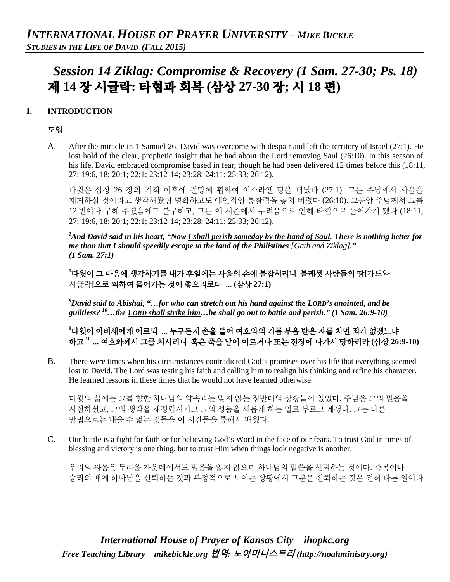# *Session 14 Ziklag: Compromise & Recovery (1 Sam. 27-30; Ps. 18)* 제 **14** 장 시글락**:** 타협과 회복 **(**삼상 **27-30** 장**;** 시 **18** 편**)**

## **I. INTRODUCTION**

## 도입

A. After the miracle in 1 Samuel 26, David was overcome with despair and left the territory of Israel (27:1). He lost hold of the clear, prophetic insight that he had about the Lord removing Saul (26:10). In this season of his life, David embraced compromise based in fear, though he had been delivered 12 times before this (18:11, 27; 19:6, 18; 20:1; 22:1; 23:12-14; 23:28; 24:11; 25:33; 26:12).

다윗은 삼상 26 장의 기적 이후에 절망에 휩싸여 이스라엘 땅을 떠났다 (27:1). 그는 주님께서 사울을 제거하실 것이라고 생각해왔던 명확하고도 예언적인 통찰력을 놓쳐 버렸다 (26:10). 그동안 주님께서 그를 12 번이나 구해 주셨음에도 불구하고, 그는 이 시즌에서 두려움으로 인해 타협으로 들어가게 됐다 (18:11, 27; 19:6, 18; 20:1; 22:1; 23:12-14; 23:28; 24:11; 25:33; 26:12).

<sup>1</sup>And David said in his heart, "Now <u>I shall perish someday by the hand of Saul</u>. There is nothing better for *me than that I should speedily escape to the land of the Philistines [Gath and Ziklag]." (1 Sam. 27:1)*

**1** 다윗이 그 마음에 생각하기를 내가 후일에는 사울의 손에 붙잡히리니 블레셋 사람들의 땅**[**가드와 시글락**]**으로 피하여 들어가는 것이 좋으리로다 **... (**삼상 **27:1)**

*9 David said to Abishai, "…for who can stretch out his hand against the LORD's anointed, and be guiltless? 10…the LORD shall strike him…he shall go out to battle and perish." (1 Sam. 26:9-10)*

**9** 다윗이 아비새에게 이르되 **...** 누구든지 손을 들어 여호와의 기름 부음 받은 자를 치면 죄가 없겠느냐 하고 **<sup>10</sup> ...** 여호와께서 그를 치시리니 혹은 죽을 날이 이르거나 또는 전장에 나가서 망하리라 **(**삼상 **26:9-10)**

B. There were times when his circumstances contradicted God's promises over his life that everything seemed lost to David. The Lord was testing his faith and calling him to realign his thinking and refine his character. He learned lessons in these times that he would not have learned otherwise.

다윗의 삶에는 그를 향한 하나님의 약속과는 맞지 않는 정반대의 상황들이 있었다. 주님은 그의 믿음을 시험하셨고, 그의 생각을 재정립시키고 그의 성품을 새롭게 하는 일로 부르고 계셨다. 그는 다른 방법으로는 배울 수 없는 것들을 이 시간들을 통해서 배웠다.

C. Our battle is a fight for faith or for believing God's Word in the face of our fears. To trust God in times of blessing and victory is one thing, but to trust Him when things look negative is another.

우리의 싸움은 두려움 가운데에서도 믿음을 잃지 않으며 하나님의 말씀을 신뢰하는 것이다. 축복이나 승리의 때에 하나님을 신뢰하는 것과 부정적으로 보이는 상황에서 그분을 신뢰하는 것은 전혀 다른 일이다.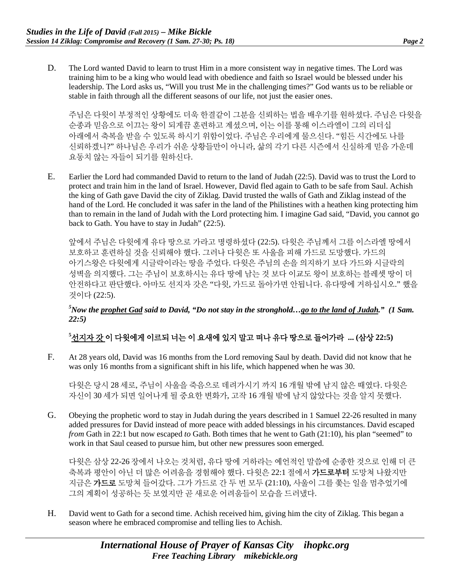D. The Lord wanted David to learn to trust Him in a more consistent way in negative times. The Lord was training him to be a king who would lead with obedience and faith so Israel would be blessed under his leadership. The Lord asks us, "Will you trust Me in the challenging times?" God wants us to be reliable or stable in faith through all the different seasons of our life, not just the easier ones.

주님은 다윗이 부정적인 상황에도 더욱 한결같이 그분을 신뢰하는 법을 배우기를 원하셨다. 주님은 다윗을 순종과 믿음으로 이끄는 왕이 되게끔 훈련하고 계셨으며, 이는 이를 통해 이스라엘이 그의 리더십 아래에서 축복을 받을 수 있도록 하시기 위함이었다. 주님은 우리에게 물으신다. "힘든 시간에도 나를 신뢰하겠니?" 하나님은 우리가 쉬운 상황들만이 아니라, 삶의 각기 다른 시즌에서 신실하게 믿음 가운데 요동치 않는 자들이 되기를 원하신다.

E. Earlier the Lord had commanded David to return to the land of Judah (22:5). David was to trust the Lord to protect and train him in the land of Israel. However, David fled again to Gath to be safe from Saul. Achish the king of Gath gave David the city of Ziklag. David trusted the walls of Gath and Ziklag instead of the hand of the Lord. He concluded it was safer in the land of the Philistines with a heathen king protecting him than to remain in the land of Judah with the Lord protecting him. I imagine Gad said, "David, you cannot go back to Gath. You have to stay in Judah" (22:5).

앞에서 주님은 다윗에게 유다 땅으로 가라고 명령하셨다 (22:5). 다윗은 주님께서 그를 이스라엘 땅에서 보호하고 훈련하실 것을 신뢰해야 했다. 그러나 다윗은 또 사울을 피해 가드로 도망했다. 가드의 아기스왕은 다윗에게 시글락이라는 땅을 주었다. 다윗은 주님의 손을 의지하기 보다 가드와 시글락의 성벽을 의지했다. 그는 주님이 보호하시는 유다 땅에 남는 것 보다 이교도 왕이 보호하는 블레셋 땅이 더 안전하다고 판단했다. 아마도 선지자 갓은 "다윗, 가드로 돌아가면 안됩니다. 유다땅에 거하십시오." 했을 것이다 (22:5).

#### *5 Now the prophet Gad said to David, "Do not stay in the stronghold…go to the land of Judah." (1 Sam. 22:5)*

# $^5$ <u>선지자 갓</u> 이 다윗에게 이르되 너는 이 요새에 있지 말고 떠나 유다 땅으로 들어가라 ... (삼상 22:5)

F. At 28 years old, David was 16 months from the Lord removing Saul by death. David did not know that he was only 16 months from a significant shift in his life, which happened when he was 30.

다윗은 당시 28 세로, 주님이 사울을 죽음으로 데려가시기 까지 16 개월 밖에 남지 않은 때였다. 다윗은 자신이 30 세가 되면 일어나게 될 중요한 변화가, 고작 16 개월 밖에 남지 않았다는 것을 알지 못했다.

G. Obeying the prophetic word to stay in Judah during the years described in 1 Samuel 22-26 resulted in many added pressures for David instead of more peace with added blessings in his circumstances. David escaped *from* Gath in 22:1 but now escaped *to* Gath. Both times that he went to Gath (21:10), his plan "seemed" to work in that Saul ceased to pursue him, but other new pressures soon emerged.

다윗은 삼상 22-26 장에서 나오는 것처럼, 유다 땅에 거하라는 예언적인 말씀에 순종한 것으로 인해 더 큰 축복과 평안이 아닌 더 많은 어려움을 경험해야 했다. 다윗은 22:1 절에서 **가드로부터** 도망쳐 나왔지만 지금은 가드로 도망쳐 들어갔다. 그가 가드로 간 두 번 모두 (21:10), 사울이 그를 쫓는 일을 멈추었기에 그의 계획이 성공하는 듯 보였지만 곧 새로운 어려움들이 모습을 드러냈다.

H. David went to Gath for a second time. Achish received him, giving him the city of Ziklag. This began a season where he embraced compromise and telling lies to Achish.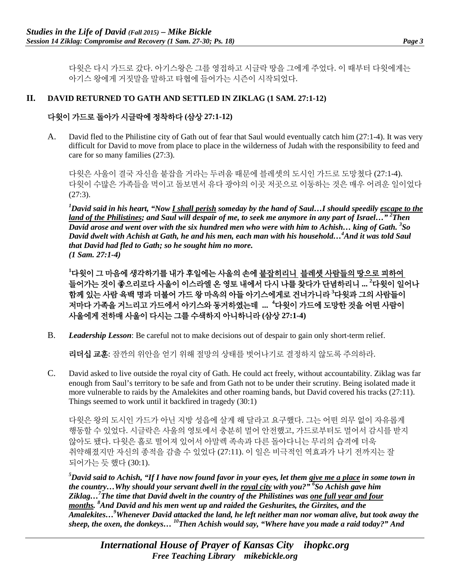다윗은 다시 가드로 갔다. 아기스왕은 그를 영접하고 시글락 땅을 그에게 주었다. 이 때부터 다윗에게는 아기스 왕에게 거짓말을 말하고 타협에 들어가는 시즌이 시작되었다.

#### **II. DAVID RETURNED TO GATH AND SETTLED IN ZIKLAG (1 SAM. 27:1-12)**

## 다윗이 가드로 돌아가 시글락에 정착하다 **(**삼상 **27:1-12)**

A. David fled to the Philistine city of Gath out of fear that Saul would eventually catch him (27:1-4). It was very difficult for David to move from place to place in the wilderness of Judah with the responsibility to feed and care for so many families (27:3).

다윗은 사울이 결국 자신을 붙잡을 거라는 두려움 때문에 블레셋의 도시인 가드로 도망쳤다 (27:1-4). 다윗이 수많은 가족들을 먹이고 돌보면서 유다 광야의 이곳 저곳으로 이동하는 것은 매우 어려운 일이었다  $(27:3)$ .

*1 David said in his heart, "Now I shall perish someday by the hand of Saul…I should speedily escape to the land of the Philistines; and Saul will despair of me, to seek me anymore in any part of Israel…" 2 Then David arose and went over with the six hundred men who were with him to Achish… king of Gath. 3 So David dwelt with Achish at Gath, he and his men, each man with his household…4 And it was told Saul that David had fled to Gath; so he sought him no more. (1 Sam. 27:1-4)*

**1** 다윗이 그 마음에 생각하기를 내가 후일에는 사울의 손에 붙잡히리니 블레셋 사람들의 땅으로 피하여 들어가는 것이 좋으리로다 사울이 이스라엘 온 영토 내에서 다시 나를 찾다가 단념하리니 ... <sup>2</sup>다윗이 일어나 함께 있는 사람 육백 명과 더불어 가드 왕 마옥의 아들 아기스에게로 건너가니라 <sup>3</sup>다윗과 그의 사람들이 저마다 가<del>족</del>을 거느리고 가드에서 아기스와 동거하였는데 … <sup>4</sup>다윗이 가드에 도망한 것을 어떤 사람이 사울에게 전하매 사울이 다시는 그를 수색하지 아니하니라 **(**삼상 **27:1-4)**

B. *Leadership Lesson*: Be careful not to make decisions out of despair to gain only short-term relief.

리더십 교훈: 잠깐의 위안을 얻기 위해 절망의 상태를 벗어나기로 결정하지 않도록 주의하라.

C. David asked to live outside the royal city of Gath. He could act freely, without accountability. Ziklag was far enough from Saul's territory to be safe and from Gath not to be under their scrutiny. Being isolated made it more vulnerable to raids by the Amalekites and other roaming bands, but David covered his tracks (27:11). Things seemed to work until it backfired in tragedy (30:1)

다윗은 왕의 도시인 가드가 아닌 지방 성읍에 살게 해 달라고 요구했다. 그는 어떤 의무 없이 자유롭게 행동할 수 있었다. 시글락은 사울의 영토에서 충분히 멀어 안전했고, 가드로부터도 멀어서 감시를 받지 않아도 됐다. 다윗은 홀로 떨어져 있어서 아말렉 족속과 다른 돌아다니는 무리의 습격에 더욱 취약해졌지만 자신의 종적을 감출 수 있었다 (27:11). 이 일은 비극적인 역효과가 나기 전까지는 잘 되어가는 듯 했다 (30:1).

*5 David said to Achish, "If I have now found favor in your eyes, let them give me a place in some town in the country…Why should your servant dwell in the royal city with you?" 6 So Achish gave him Ziklag…7 The time that David dwelt in the country of the Philistines was one full year and four months. <sup>8</sup> And David and his men went up and raided the Geshurites, the Girzites, and the Amalekites…9 Whenever David attacked the land, he left neither man nor woman alive, but took away the sheep, the oxen, the donkeys… 10Then Achish would say, "Where have you made a raid today?" And*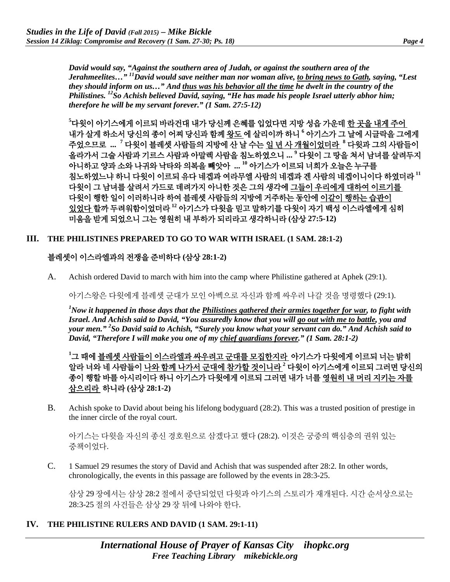*David would say, "Against the southern area of Judah, or against the southern area of the Jerahmeelites…" 11David would save neither man nor woman alive, to bring news to Gath, saying, "Lest they should inform on us…" And thus was his behavior all the time he dwelt in the country of the Philistines. 12So Achish believed David, saying, "He has made his people Israel utterly abhor him; therefore he will be my servant forever." (1 Sam. 27:5-12)*

**5** 다윗이 아기스에게 이르되 바라건대 내가 당신께 은혜를 입었다면 지방 성읍 가운데 한 곳을 내게 주어 내가 살게 하소서 당신의 종이 어찌 당신과 함께 왕도 에 살리이까 하니 **<sup>6</sup>** 아기스가 그 날에 시글락을 그에게 주었으므로 **... <sup>7</sup>** 다윗이 블레셋 사람들의 지방에 산 날 수는 일 년 사 개월이었더라 **<sup>8</sup>** 다윗과 그의 사람들이 올라가서 그술 사람과 기르스 사람과 아말렉 사람을 침노하였으니 **... 9** 다윗이 그 땅을 쳐서 남녀를 살려두지 아니하고 양과 소와 나귀와 낙타와 의복을 빼앗아 **... 10** 아기스가 이르되 너희가 오늘은 누구를 침노하였느냐 하니 다윗이 이르되 유다 네겝과 여라무엘 사람의 네겝과 겐 사람의 네겝이니이다 하였더라 **<sup>11</sup>** 다윗이 그 남녀를 살려서 가드로 데려가지 아니한 것은 그의 생각에 그들이 우리에게 대하여 이르기를 다윗이 행한 일이 이러하니라 하여 블레셋 사람들의 지방에 거주하는 동안에 이같이 행하는 습관이 있었다 할까 두려워함이었더라 **<sup>12</sup>** 아기스가 다윗을 믿고 말하기를 다윗이 자기 백성 이스라엘에게 심히 미움을 받게 되었으니 그는 영원히 내 부하가 되리라고 생각하니라 **(**삼상 **27:5-12)**

#### **III. THE PHILISTINES PREPARED TO GO TO WAR WITH ISRAEL (1 SAM. 28:1-2)**

#### 블레셋이 이스라엘과의 전쟁을 준비하다 **(**삼상 **28:1-2)**

A. Achish ordered David to march with him into the camp where Philistine gathered at Aphek (29:1).

아기스왕은 다윗에게 블레셋 군대가 모인 아벡으로 자신과 함께 싸우러 나갈 것을 명령했다 (29:1).

*1 Now it happened in those days that the Philistines gathered their armies together for war, to fight with Israel. And Achish said to David, "You assuredly know that you will go out with me to battle, you and your men." 2 So David said to Achish, "Surely you know what your servant can do." And Achish said to David, "Therefore I will make you one of my chief guardians forever." (1 Sam. 28:1-2)*

**1** 그 때에 블레셋 사람들이 이스라엘과 싸우려고 군대를 모집한지라 아기스가 다윗에게 이르되 너는 밝히 알라 너와 네 사람들이 나와 함께 나가서 군대에 참가할 것이니라 **<sup>2</sup>** 다윗이 아기스에게 이르되 그러면 당신의 종이 행할 바를 아시리이다 하니 아기스가 다윗에게 이르되 그러면 내가 너를 영원히 내 머리 지키는 자를 삼으리라 하니라 **(**삼상 **28:1-2)**

B. Achish spoke to David about being his lifelong bodyguard (28:2). This was a trusted position of prestige in the inner circle of the royal court.

아기스는 다윗을 자신의 종신 경호원으로 삼겠다고 했다 (28:2). 이것은 궁중의 핵심층의 권위 있는 중책이었다.

C. 1 Samuel 29 resumes the story of David and Achish that was suspended after 28:2. In other words, chronologically, the events in this passage are followed by the events in 28:3-25.

삼상 29 장에서는 삼상 28:2 절에서 중단되었던 다윗과 아기스의 스토리가 재개된다. 시간 순서상으로는 28:3-25 절의 사건들은 삼상 29 장 뒤에 나와야 한다.

#### **IV. THE PHILISTINE RULERS AND DAVID (1 SAM. 29:1-11)**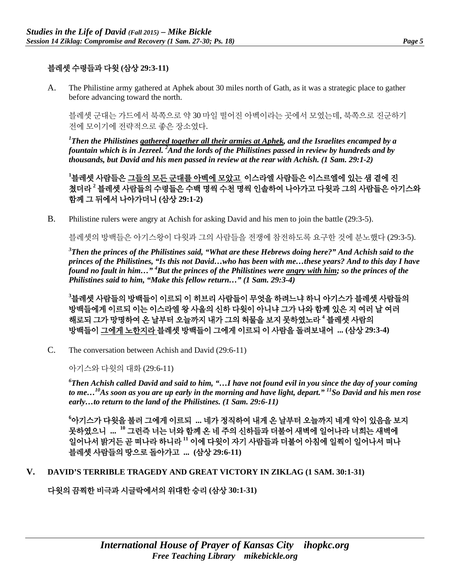# 블레셋 수령들과 다윗 **(**삼상 **29:3-11)**

A. The Philistine army gathered at Aphek about 30 miles north of Gath, as it was a strategic place to gather before advancing toward the north.

블레셋 군대는 가드에서 북쪽으로 약 30 마일 떨어진 아벡이라는 곳에서 모였는데, 북쪽으로 진군하기 전에 모이기에 전략적으로 좋은 장소였다.

*1 Then the Philistines gathered together all their armies at Aphek, and the Israelites encamped by a fountain which is in Jezreel. 2 And the lords of the Philistines passed in review by hundreds and by thousands, but David and his men passed in review at the rear with Achish. (1 Sam. 29:1-2)*

**1** 블레셋 사람들은 그들의 모든 군대를 아벡에 모았고 이스라엘 사람들은 이스르엘에 있는 샘 곁에 진 쳤더라 **<sup>2</sup>** 블레셋 사람들의 수령들은 수백 명씩 수천 명씩 인솔하여 나아가고 다윗과 그의 사람들은 아기스와 함께 그 뒤에서 나아가더니 **(**삼상 **29:1-2)**

B. Philistine rulers were angry at Achish for asking David and his men to join the battle (29:3-5).

블레셋의 방백들은 아기스왕이 다윗과 그의 사람들을 전쟁에 참전하도록 요구한 것에 분노했다 (29:3-5).

*3 Then the princes of the Philistines said, "What are these Hebrews doing here?" And Achish said to the princes of the Philistines, "Is this not David…who has been with me…these years? And to this day I have found no fault in him…" 4 But the princes of the Philistines were angry with him; so the princes of the Philistines said to him, "Make this fellow return…" (1 Sam. 29:3-4)*

**3** 블레셋 사람들의 방백들이 이르되 이 히브리 사람들이 무엇을 하려느냐 하니 아기스가 블레셋 사람들의 방백들에게 이르되 이는 이스라엘 왕 사울의 신하 다윗이 아니냐 그가 나와 함께 있은 지 여러 날 여러 해로되 그가 망명하여 온 날부터 오늘까지 내가 그의 허물을 보지 못하였노라 **<sup>4</sup>** 블레셋 사람의 방백들이 그에게 노한지라 블레셋 방백들이 그에게 이르되 이 사람을 돌려보내어 **... (**삼상 **29:3-4)**

C. The conversation between Achish and David (29:6-11)

아기스와 다윗의 대화 (29:6-11)

*6 Then Achish called David and said to him, "…I have not found evil in you since the day of your coming to me…10As soon as you are up early in the morning and have light, depart." 11So David and his men rose early…to return to the land of the Philistines. (1 Sam. 29:6-11)*

**6** 아기스가 다윗을 불러 그에게 이르되 **...** 네가 정직하여 내게 온 날부터 오늘까지 네게 악이 있음을 보지 못하였으니 **... <sup>10</sup>** 그런즉 너는 너와 함께 온 네 주의 신하들과 더불어 새벽에 일어나라 너희는 새벽에 일어나서 밝거든 곧 떠나라 하니라 **<sup>11</sup>** 이에 다윗이 자기 사람들과 더불어 아침에 일찍이 일어나서 떠나 블레셋 사람들의 땅으로 돌아가고 **... (**삼상 **29:6-11)**

**V. DAVID'S TERRIBLE TRAGEDY AND GREAT VICTORY IN ZIKLAG (1 SAM. 30:1-31)**

다윗의 끔찍한 비극과 시글락에서의 위대한 승리 **(**삼상 **30:1-31)**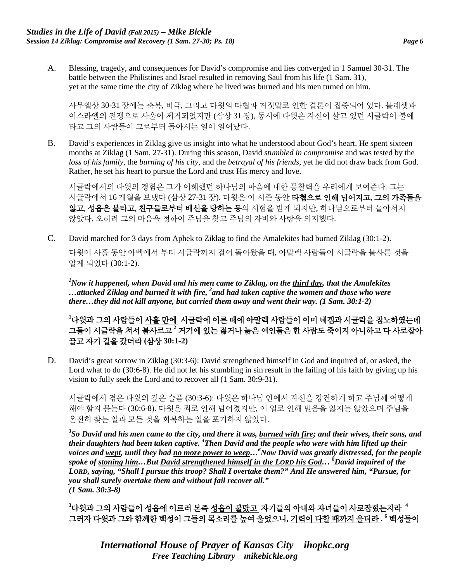A. Blessing, tragedy, and consequences for David's compromise and lies converged in 1 Samuel 30-31. The battle between the Philistines and Israel resulted in removing Saul from his life (1 Sam. 31), yet at the same time the city of Ziklag where he lived was burned and his men turned on him.

사무엘상 30-31 장에는 축복, 비극, 그리고 다윗의 타협과 거짓말로 인한 결론이 집중되어 있다. 블레셋과 이스라엘의 전쟁으로 사울이 제거되었지만 (삼상 31 장), 동시에 다윗은 자신이 살고 있던 시글락이 불에 타고 그의 사람들이 그로부터 돌아서는 일이 일어났다.

B. David's experiences in Ziklag give us insight into what he understood about God's heart. He spent sixteen months at Ziklag (1 Sam. 27-31). During this season, David *stumbled in compromise* and was tested by the *loss of his family*, the *burning of his city,* and the *betrayal of his friends*, yet he did not draw back from God. Rather, he set his heart to pursue the Lord and trust His mercy and love.

시글락에서의 다윗의 경험은 그가 이해했던 하나님의 마음에 대한 통찰력을 우리에게 보여준다. 그는 시글락에서 16 개월을 보냈다 (삼상 27-31 장). 다윗은 이 시즌 동안 **타협으로 인해 넘어지고, 그의 가족들을** 잃고, 성읍은 불타고, 친구들로부터 배신을 당하는 등의 시험을 받게 되지만, 하나님으로부터 돌아서지 않았다. 오히려 그의 마음을 정하여 주님을 찾고 주님의 자비와 사랑을 의지했다.

C. David marched for 3 days from Aphek to Ziklag to find the Amalekites had burned Ziklag (30:1-2). 다윗이 사흘 동안 아벡에서 부터 시글락까지 걸어 돌아왔을 때, 아말렉 사람들이 시글락을 불사른 것을 알게 되었다 (30:1-2).

*1 Now it happened, when David and his men came to Ziklag, on the third day, that the Amalekites …attacked Ziklag and burned it with fire, 2 and had taken captive the women and those who were there…they did not kill anyone, but carried them away and went their way. (1 Sam. 30:1-2)*

**1** 다윗과 그의 사람들이 사흘 만에 시글락에 이른 때에 아말렉 사람들이 이미 네겝과 시글락을 침노하였는데 그들이 시글락을 쳐서 불사르고 **<sup>2</sup>** 거기에 있는 젊거나 늙은 여인들은 한 사람도 죽이지 아니하고 다 사로잡아 끌고 자기 길을 갔더라 **(**삼상 **30:1-2)**

D. David's great sorrow in Ziklag (30:3-6): David strengthened himself in God and inquired of, or asked, the Lord what to do (30:6-8). He did not let his stumbling in sin result in the failing of his faith by giving up his vision to fully seek the Lord and to recover all (1 Sam. 30:9-31).

시글락에서 겪은 다윗의 깊은 슬픔 (30:3-6): 다윗은 하나님 안에서 자신을 강건하게 하고 주님께 어떻게 해야 할지 묻는다 (30:6-8). 다윗은 죄로 인해 넘어졌지만, 이 일로 인해 믿음을 잃지는 않았으며 주님을 온전히 찾는 일과 모든 것을 회복하는 일을 포기하지 않았다.

*3 So David and his men came to the city, and there it was, burned with fire; and their wives, their sons, and*  their daughters had been taken captive. <sup>4</sup>Then David and the people who were with him lifted up their *voices and wept, until they had no more power to weep…<sup>6</sup> Now David was greatly distressed, for the people spoke of stoning him…But David strengthened himself in the LORD his God… <sup>8</sup> David inquired of the LORD, saying, "Shall I pursue this troop? Shall I overtake them?" And He answered him, "Pursue, for you shall surely overtake them and without fail recover all." (1 Sam. 30:3-8)*

**3** 다윗과 그의 사람들이 성읍에 이르러 본즉 성읍이 불탔고 자기들의 아내와 자녀들이 사로잡혔는지라 **<sup>4</sup>** 그러자 다윗과 그와 함께한 백성이 그들의 목소리를 높여 울었으니**,** 기력이 다할 때까지 울더라 **. <sup>6</sup>** 백성들이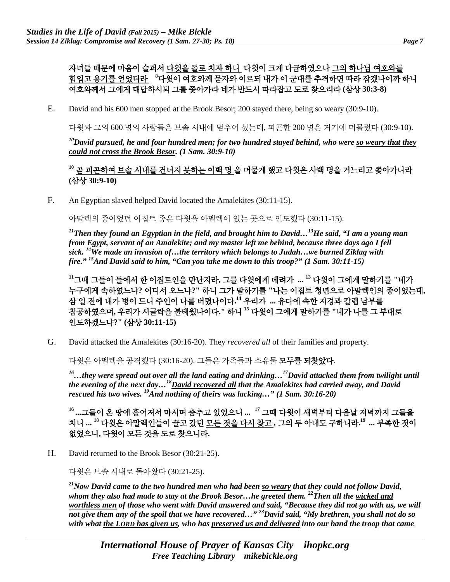# 자녀들 때문에 마음이 슬퍼서 다윗을 돌로 치자 하니 다윗이 크게 다급하였으나 그의 하나님 여호와를 <u>힘입고 용기를 얻었더라</u> "다윗이 여호와께 묻자와 이르되 내가 이 군대를 추격하면 따라 잡겠나이까 하니 여호와께서 그에게 대답하시되 그를 쫓아가라 네가 반드시 따라잡고 도로 찾으리라 **(**삼상 **30:3-8)**

E. David and his 600 men stopped at the Brook Besor; 200 stayed there, being so weary (30:9-10).

다윗과 그의 600 명의 사람들은 브솔 시내에 멈추어 섰는데, 피곤한 200 명은 거기에 머물렀다 (30:9-10).

*10David pursued, he and four hundred men; for two hundred stayed behind, who were so weary that they could not cross the Brook Besor. (1 Sam. 30:9-10)*

## **<sup>10</sup>** 곧 피곤하여 브솔 시내를 건너지 못하는 이백 명 을 머물게 했고 다윗은 사백 명을 거느리고 쫓아가니라 **(**삼상 **30:9-10)**

F. An Egyptian slaved helped David located the Amalekites (30:11-15).

아말렉의 종이었던 이집트 종은 다윗을 아멜렉이 있는 곳으로 인도했다 (30:11-15).

*11Then they found an Egyptian in the field, and brought him to David…13He said, "I am a young man from Egypt, servant of an Amalekite; and my master left me behind, because three days ago I fell sick. 14We made an invasion of…the territory which belongs to Judah…we burned Ziklag with fire." 15And David said to him, "Can you take me down to this troop?" (1 Sam. 30:11-15)*

**<sup>11</sup>**그때 그들이 들에서 한 이집트인을 만난지라**,** 그를 다윗에게 데려가 **... 13** 다윗이 그에게 말하기를 **"**네가 누구에게 속하였느냐**?** 어디서 오느냐**?"** 하니 그가 말하기를 **"**나는 이집트 청년으로 아말렉인의 종이었는데**,**  삼 일 전에 내가 병이 드니 주인이 나를 버렸나이다**. <sup>14</sup>** 우리가 **...** 유다에 속한 지경과 칼렙 남부를 침공하였으며**,** 우리가 시글락을 불태웠나이다**."** 하니 **<sup>15</sup>** 다윗이 그에게 말하기를 **"**네가 나를 그 부대로 인도하겠느냐**?" (**삼상 **30:11-15)**

G. David attacked the Amalekites (30:16-20). They *recovered all* of their families and property.

다윗은 아멜렉을 공격했다 (30:16-20). 그들은 가족들과 소유물 모두를 되찾았다.

*16…they were spread out over all the land eating and drinking…17David attacked them from twilight until the evening of the next day…18David recovered all that the Amalekites had carried away, and David rescued his two wives. 19And nothing of theirs was lacking…" (1 Sam. 30:16-20)*

**16 ...**그들이 온 땅에 흩어져서 마시며 춤추고 있었으니 **... <sup>17</sup>** 그때 다윗이 새벽부터 다음날 저녁까지 그들을 치니 **... 18** 다윗은 아말렉인들이 끌고 갔던 모든 것을 다시 찾고 **,** 그의 두 아내도 구하니라**. <sup>19</sup> ...** 부족한 것이 없었으니**,** 다윗이 모든 것을 도로 찾으니라**.**

H. David returned to the Brook Besor (30:21-25).

다윗은 브솔 시내로 돌아왔다 (30:21-25).

*21Now David came to the two hundred men who had been so weary that they could not follow David, whom they also had made to stay at the Brook Besor…he greeted them. 22Then all the wicked and worthless men of those who went with David answered and said, "Because they did not go with us, we will not give them any of the spoil that we have recovered…" 23David said, "My brethren, you shall not do so with what the LORD has given us, who has preserved us and delivered into our hand the troop that came*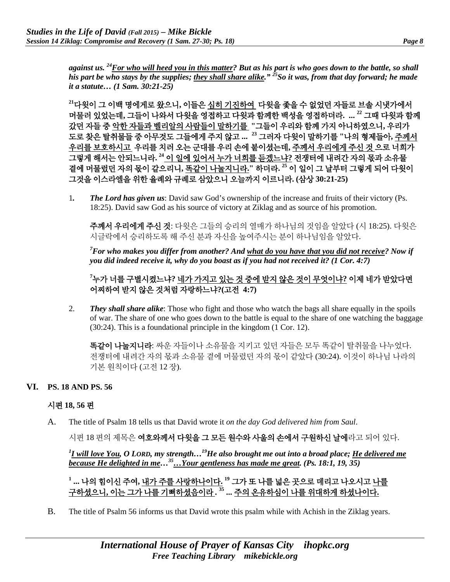*against us. 24For who will heed you in this matter? But as his part is who goes down to the battle, so shall his part be who stays by the supplies; they shall share alike." 25So it was, from that day forward; he made it a statute… (1 Sam. 30:21-25)*

**<sup>21</sup>**다윗이 그 이백 명에게로 왔으니**,** 이들은 심히 기진하여 다윗을 좇을 수 없었던 자들로 브솔 시냇가에서 머물러 있었는데**,** 그들이 나와서 다윗을 영접하고 다윗과 함께한 백성을 영접하더라**. ... 22** 그때 다윗과 함께 갔던 자들 중 악한 자들과 벨리알의 사람들이 말하기를 **"**그들이 우리와 함께 가지 아니하였으니**,** 우리가 도로 찾은 탈취물들 중 아무것도 그들에게 주지 않고 **... <sup>23</sup>** 그러자 다윗이 말하기를 **"**나의 형제들아**,** 주께서 우리를 보호하시고 우리를 치러 오는 군대를 우리 손에 붙이셨는데**,** 주께서 우리에게 주신 것 으로 너희가 그렇게 해서는 안되느니라**. <sup>24</sup>** 이 일에 있어서 누가 너희를 듣겠느냐**?** 전쟁터에 내려간 자의 몫과 소유물 곁에 머물렀던 자의 몫이 같으리니**,** 똑같이 나눌지니라**."** 하더라**. <sup>25</sup>** 이 일이 그 날부터 그렇게 되어 다윗이 그것을 이스라엘을 위한 율례와 규례로 삼았으니 오늘까지 이르니라**. (**삼상 **30:21-25)**

1*. The Lord has given us*: David saw God's ownership of the increase and fruits of their victory (Ps. 18:25). David saw God as his source of victory at Ziklag and as source of his promotion.

주께서 우리에게 주신 것: 다윗은 그들의 승리의 열매가 하나님의 것임을 알았다 (시 18:25). 다윗은 시글락에서 승리하도록 해 주신 분과 자신을 높여주시는 분이 하나님임을 알았다.

*7 For who makes you differ from another? And what do you have that you did not receive? Now if you did indeed receive it, why do you boast as if you had not received it? (1 Cor. 4:7)*

**7** 누가 너를 구별시켰느냐**?** 네가 가지고 있는 것 중에 받지 않은 것이 무엇이냐**?** 이제 네가 받았다면 어찌하여 받지 않은 것처럼 자랑하느냐**?(**고전 **4:7)**

2. *They shall share alike*: Those who fight and those who watch the bags all share equally in the spoils of war. The share of one who goes down to the battle is equal to the share of one watching the baggage (30:24). This is a foundational principle in the kingdom (1 Cor. 12).

똑같이 나눌지니라: 싸운 자들이나 소유물을 지키고 있던 자들은 모두 똑같이 탈취물을 나누었다. 전쟁터에 내려간 자의 몫과 소유물 곁에 머물렀던 자의 몫이 같았다 (30:24). 이것이 하나님 나라의 기본 원칙이다 (고전 12 장).

#### **VI. PS. 18 AND PS. 56**

#### 시편 **18, 56** 편

A. The title of Psalm 18 tells us that David wrote it *on the day God delivered him from Saul*.

시편 18 편의 제목은 여호와께서 다윗을 그 모든 원수와 사울의 손에서 구원하신 날에라고 되어 있다.

*1 I will love You, O LORD, my strength…19He also brought me out into a broad place; He delivered me because He delighted in me…35…Your gentleness has made me great. (Ps. 18:1, 19, 35)*

## **<sup>1</sup> ...** 나의 힘이신 주여**,** 내가 주를 사랑하나이다**. <sup>19</sup>** 그가 또 나를 넓은 곳으로 데리고 나오시고 나를 구하셨으니**,** 이는 그가 나를 기뻐하셨음이라 **. <sup>35</sup> ...** 주의 온유하심이 나를 위대하게 하셨나이다**.**

B. The title of Psalm 56 informs us that David wrote this psalm while with Achish in the Ziklag years.